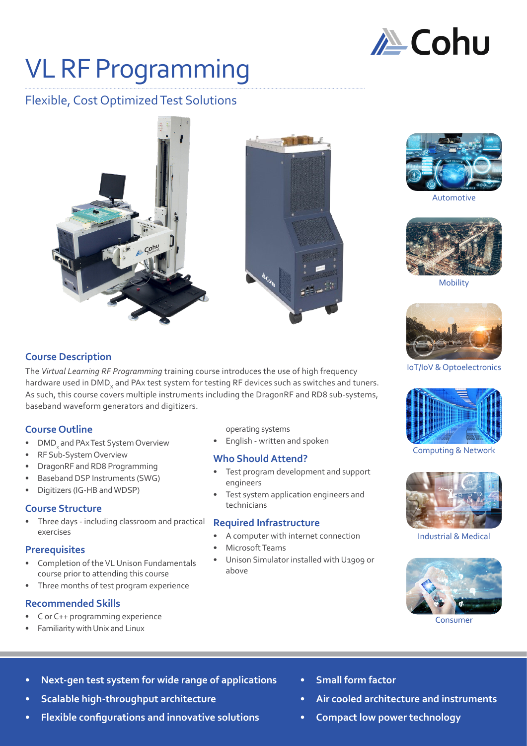

# VL RF Programming

# Flexible, Cost Optimized Test Solutions





Automotive



Mobility



IoT/IoV & Optoelectronics



#### Computing & Network



Industrial & Medical



Consumer

**Course Description**

The *Virtual Learning RF Programming* training course introduces the use of high frequency hardware used in DMD<sub>y</sub> and PAx test system for testing RF devices such as switches and tuners. As such, this course covers multiple instruments including the DragonRF and RD8 sub-systems, baseband waveform generators and digitizers.

## **Course Outline**

- DMD<sub>x</sub> and PAx Test System Overview
- RF Sub-System Overview
- DragonRF and RD8 Programming
- Baseband DSP Instruments (SWG)
- Digitizers (IG-HB and WDSP)

#### **Course Structure**

• Three days - including classroom and practical exercises

#### **Prerequisites**

- Completion of the VL Unison Fundamentals course prior to attending this course
- Three months of test program experience

#### **Recommended Skills**

- C or C++ programming experience
- Familiarity with Unix and Linux
- operating systems
- English written and spoken

#### **Who Should Attend?**

- Test program development and support engineers
- Test system application engineers and technicians

#### **Required Infrastructure**

- A computer with internet connection
- Microsoft Teams
- Unison Simulator installed with U1909 or above

- **• Next-gen test system for wide range of applications**
- **• Scalable high-throughput architecture**
- **• Flexible configurations and innovative solutions**
- **• Small form factor**
- **• Air cooled architecture and instruments**
- **• Compact low power technology**